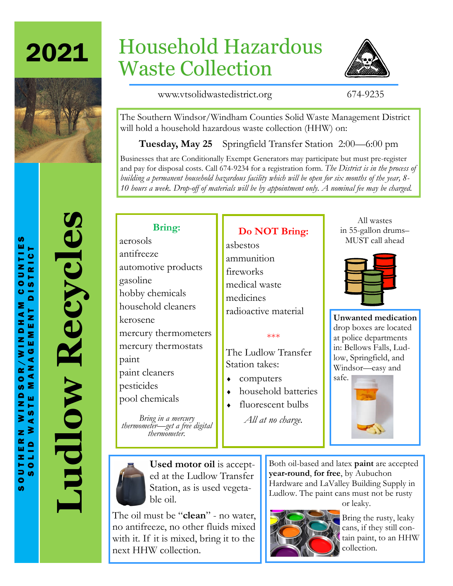2021



# Household Hazardous Waste Collection



www.vtsolidwastedistrict.org 674-9235

The Southern Windsor/Windham Counties Solid Waste Management District will hold a household hazardous waste collection (HHW) on:

**Tuesday, May 25** Springfield Transfer Station 2:00—6:00 pm

Businesses that are Conditionally Exempt Generators may participate but must pre-register and pay for disposal costs. Call 674-9234 for a registration form. *The District is in the process of building a permanent household hazardous facility which will be open for six months of the year, 8- 10 hours a week. Drop-off of materials will be by appointment only. A nominal fee may be charged.*

**Ludlow Recycles**

Ludlow Recycles

## **Bring:**

aerosols antifreeze automotive products gasoline hobby chemicals household cleaners kerosene mercury thermometers mercury thermostats paint paint cleaners pesticides pool chemicals

*Bring in a mercury thermometer—get a free digital thermometer.*

### **Do NOT Bring:**

asbestos ammunition fireworks medical waste medicines radioactive material

#### \*\*\*

The Ludlow Transfer Station takes:

- computers
- household batteries
- fluorescent bulbs *All at no charge.*

All wastes in 55-gallon drums– MUST call ahead

**Unwanted medication**  drop boxes are located at police departments in: Bellows Falls, Ludlow, Springfield, and Windsor—easy and





**Used motor oil** is accepted at the Ludlow Transfer Station, as is used vegetable oil.

The oil must be "**clean**" - no water, no antifreeze, no other fluids mixed with it. If it is mixed, bring it to the next HHW collection.

Both oil-based and latex **paint** are accepted **year-round**, **for free**, by Aubuchon Hardware and LaValley Building Supply in Ludlow. The paint cans must not be rusty or leaky.



Bring the rusty, leaky cans, if they still contain paint, to an HHW collection.